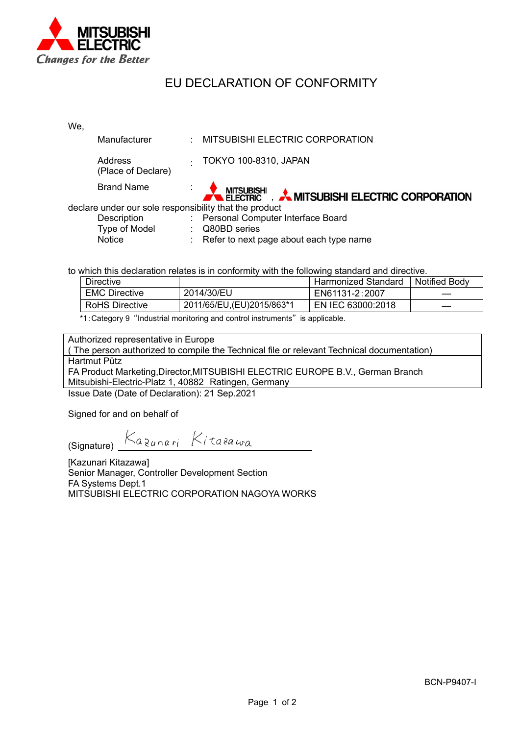

## EU DECLARATION OF CONFORMITY

| We.                                                    |                                      |        |                                              |  |  |  |  |
|--------------------------------------------------------|--------------------------------------|--------|----------------------------------------------|--|--|--|--|
|                                                        | <b>Manufacturer</b>                  |        | MITSUBISHI ELECTRIC CORPORATION              |  |  |  |  |
|                                                        | <b>Address</b><br>(Place of Declare) | $\sim$ | TOKYO 100-8310, JAPAN                        |  |  |  |  |
|                                                        | <b>Brand Name</b>                    |        | MITSUBISHI A MITSUBISHI ELECTRIC CORPORATION |  |  |  |  |
| declare under our sole responsibility that the product |                                      |        |                                              |  |  |  |  |
|                                                        | Description                          |        | : Personal Computer Interface Board          |  |  |  |  |
|                                                        | Type of Model                        |        | Q80BD series                                 |  |  |  |  |
|                                                        | Notice                               |        | : Refer to next page about each type name    |  |  |  |  |

to which this declaration relates is in conformity with the following standard and directive.

| Directive             |                             | <b>Harmonized Standard</b> | Notified Body |
|-----------------------|-----------------------------|----------------------------|---------------|
| <b>EMC Directive</b>  | 2014/30/EU                  | EN61131-2:2007             |               |
| <b>RoHS Directive</b> | 2011/65/EU, (EU) 2015/863*1 | EN IEC 63000:2018          |               |

\*1:Category 9 "Industrial monitoring and control instruments" is applicable.

Authorized representative in Europe

( The person authorized to compile the Technical file or relevant Technical documentation) Hartmut Pütz FA Product Marketing,Director,MITSUBISHI ELECTRIC EUROPE B.V., German Branch Mitsubishi-Electric-Platz 1, 40882 Ratingen, Germany

Issue Date (Date of Declaration): 21 Sep.2021

Signed for and on behalf of

(Signature)  $Ka_{2008r}$  Kitasawa

[Kazunari Kitazawa] Senior Manager, Controller Development Section FA Systems Dept.1 MITSUBISHI ELECTRIC CORPORATION NAGOYA WORKS